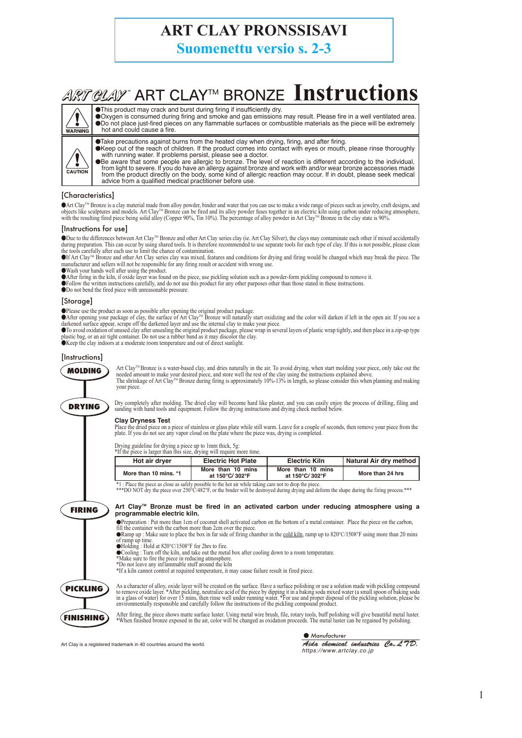# **ART CLAY PRONSSISAVI**

**Suomenettu versio s. 2-3**

# **ART CLAY ART CLAY<sup>TM</sup> BRONZE Instructions**



- ●This product may crack and burst during firing if insufficiently dry. ●Oxygen is consumed during firing and smoke and gas emissions may result. Please fire in a well ventilated area.<br>●Do not place just-fired pieces on any flammable surfaces or combustible materials as the piece will be extr hot and could cause a fire.
- ●Take precautions against burns from the heated clay when drying, firing, and after firing.<br>●Keep out of the reach of children. If the product comes into contact with eyes or mouth, please rinse thoroughly
- 

with running water. If problems persist, please see a doctor.<br>
• The level of reaction is different according to the individual,<br>
from light to severe. If you do have an allergy against bronze and work with and/or wear bro advice from a qualified medical practitioner before use.

## [Characteristics]

●Art Clay™ Bronze is a clay material made from alloy powder, binder and water that you can use to make a wide range of pieces such as jewelry, craft designs, and<br>objects like sculptures and models. Art Clay™ Bronze can be

#### [Instructions for use]

●Due to the differences between Art ClayTM Bronze and other Art Clay series clay (ie. Art Clay Silver), the clays may contaminate each other if mixed accidentally during preparation. This can occur by using shared tools. It is therefore recommended to use separate tools for each type of clay. If this is not possible, please clean<br>the tools carefully after each use to limit the chanc

The Art Clay<sup>™</sup> Bronze and other Art Clay series clay was mixed, features and conditions for drying and firing would be changed which may break the piece. The manufacturer and sellers will not be responsible for any firing

●Wash your hands well after using the product.

● After firing in the kiln, if oxide layer was found on the piece, use pickling solution such as a powder-form pickling compound to remove it.<br>● Follow the written instructions carefully, and do not use this product for a

●Do not bend the fired piece with unreasonable pressure.

#### [Storage]

●Please use the product as soon as possible after opening the original product package.<br>●After opening your package of clay, the surface of Art Clay™ Bronze will naturally start oxidizing and the color will darken if left

●To avoid oxidation of unused clay after unsealing the original product package, please wrap in several layers of plastic wrap tightly, and then place in a zip-up type<br>plastic bag, or an air tight container. Do not use a

#### [Instructions]



Art Clay™Bronze is a water-based clay, and dries naturally in the air. To avoid drying, when start molding your piece, only take out the<br>needed amount to make your desired piece, and store well the rest of the clay using your piece.



Dry completely after molding. The dried clay will become hard like plaster, and you can easily enjoy the process of drilling, filing and<br>sanding with hand tools and equipment. Follow the drying instructions and drying chec

### **Clay Dryness Test**

Place the dried piece on a piece of stainless or glass plate while still warm. Leave for a couple of seconds, then remove your piece from the<br>plate. If you do not see any vapor cloud on the plate where the piece was, dryin

Drying guideline for drying a piece up to 1mm thick, 5g: \*If the piece is larger than this size, drying will require more time.

| ---------             |                                     |                                     |                        |
|-----------------------|-------------------------------------|-------------------------------------|------------------------|
| Hot air dryer         | <b>Electric Hot Plate</b>           | <b>Electric Kiln</b>                | Natural Air dry method |
| More than 10 mins. *1 | More than 10 mins<br>at 150°C/302°F | More than 10 mins<br>at 150°C/302°F | More than 24 hrs       |

\*1 : Place the piece as close as safely possible to the hot air while taking care not to drop the piece.<br>\*\*\*DO NOT dry the piece over 250°C/482°F, or the binder will be destroyed during drying and deform the shape during t

# **FIRING PICKLING**

Art Clay™ Bronze must be fired in an activated carbon under reducing atmosphere using a **programmable electric kiln.** 

●Preparation : Put more than 1cm of coconut shell activated carbon on the bottom of a metal container. Place the piece on the carbon, fill the container with the carbon more than 2cm over the piece.<br>●Ramp up : Make sure to place the box in far side of firing chamber in the <u>cold kiln</u>, ramp up to 820°C/1508°F using more than 20 mins

of ramp up time.

●Holding : Hold at 820°C/1508°F for 2hrs to fire.<br>●Cooling : Turn off the kiln, and take out the metal box after cooling down to a room temperature.<br>\*Make sure to fire the piece in reducing atmosphere.<br>\*Do not leave any i

\*If a kiln cannot control at required temperature, it may cause failure result in fired piece.



As a character of alloy, oxide layer will be created on the surface. Have a surface polishing or use a solution made with pickling compound<br>to remove oxide layer. \*After pickling, neutralize acid of the picee by dipping it

After firing, the piece shows matte surface luster. Using metal wire brush, file, rotary tools, buff polishing will give beautiful metal luster.<br>When finished bronze exposed in the air, color will be changed as oxidation p

Art Clay is a registered trademark in 40 countries around the world.

● *Manufacturer*

Aida chemical industries Co. L7D. *https://www.artclay.co.jp*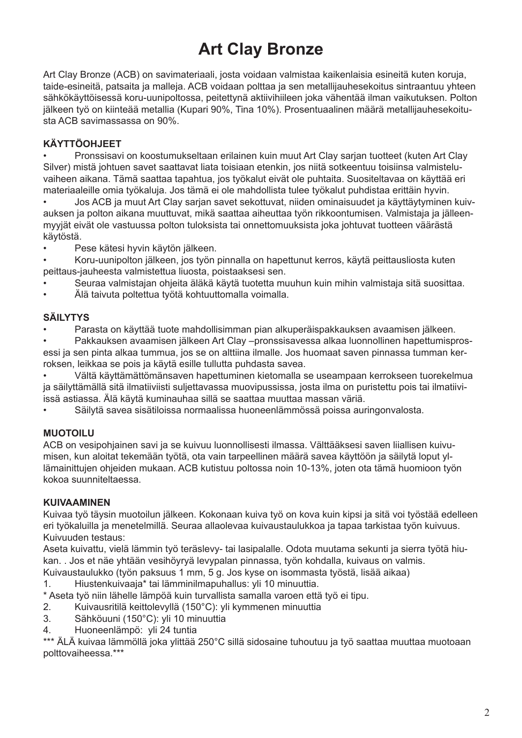# **Art Clay Bronze**

Art Clay Bronze (ACB) on savimateriaali, josta voidaan valmistaa kaikenlaisia esineitä kuten koruja, taide-esineitä, patsaita ja malleja. ACB voidaan polttaa ja sen metallijauhesekoitus sintraantuu yhteen sähkökäyttöisessä koru-uunipoltossa, peitettynä aktiivihiileen joka vähentää ilman vaikutuksen. Polton jälkeen työ on kiinteää metallia (Kupari 90%, Tina 10%). Prosentuaalinen määrä metallijauhesekoitusta ACB savimassassa on 90%.

## **KÄYTTÖOHJEET**

• Pronssisavi on koostumukseltaan erilainen kuin muut Art Clay sarjan tuotteet (kuten Art Clay Silver) mistä johtuen savet saattavat liata toisiaan etenkin, jos niitä sotkeentuu toisiinsa valmisteluvaiheen aikana. Tämä saattaa tapahtua, jos työkalut eivät ole puhtaita. Suositeltavaa on käyttää eri materiaaleille omia työkaluja. Jos tämä ei ole mahdollista tulee työkalut puhdistaa erittäin hyvin.

• Jos ACB ja muut Art Clay sarjan savet sekottuvat, niiden ominaisuudet ja käyttäytyminen kuivauksen ja polton aikana muuttuvat, mikä saattaa aiheuttaa työn rikkoontumisen. Valmistaja ja jälleenmyyjät eivät ole vastuussa polton tuloksista tai onnettomuuksista joka johtuvat tuotteen väärästä käytöstä.

• Pese kätesi hyvin käytön jälkeen.

• Koru-uunipolton jälkeen, jos työn pinnalla on hapettunut kerros, käytä peittausliosta kuten peittaus-jauheesta valmistettua liuosta, poistaaksesi sen.

• Seuraa valmistajan ohjeita äläkä käytä tuotetta muuhun kuin mihin valmistaja sitä suosittaa.

• Älä taivuta poltettua työtä kohtuuttomalla voimalla.

# **SÄILYTYS**

• Parasta on käyttää tuote mahdollisimman pian alkuperäispakkauksen avaamisen jälkeen.

• Pakkauksen avaamisen jälkeen Art Clay –pronssisavessa alkaa luonnollinen hapettumisprosessi ja sen pinta alkaa tummua, jos se on alttiina ilmalle. Jos huomaat saven pinnassa tumman kerroksen, leikkaa se pois ja käytä esille tullutta puhdasta savea.

• Vältä käyttämättömänsaven hapettuminen kietomalla se useampaan kerrokseen tuorekelmua ja säilyttämällä sitä ilmatiiviisti suljettavassa muovipussissa, josta ilma on puristettu pois tai ilmatiiviissä astiassa. Älä käytä kuminauhaa sillä se saattaa muuttaa massan väriä.

• Säilytä savea sisätiloissa normaalissa huoneenlämmössä poissa auringonvalosta.

## **MUOTOILU**

ACB on vesipohjainen savi ja se kuivuu luonnollisesti ilmassa. Välttääksesi saven liiallisen kuivumisen, kun aloitat tekemään työtä, ota vain tarpeellinen määrä savea käyttöön ja säilytä loput yllämainittujen ohjeiden mukaan. ACB kutistuu poltossa noin 10-13%, joten ota tämä huomioon työn kokoa suunniteltaessa.

## **KUIVAAMINEN**

Kuivaa työ täysin muotoilun jälkeen. Kokonaan kuiva työ on kova kuin kipsi ja sitä voi työstää edelleen eri työkaluilla ja menetelmillä. Seuraa allaolevaa kuivaustaulukkoa ja tapaa tarkistaa työn kuivuus. Kuivuuden testaus:

Aseta kuivattu, vielä lämmin työ teräslevy- tai lasipalalle. Odota muutama sekunti ja sierra työtä hiukan. . Jos et näe yhtään vesihöyryä levypalan pinnassa, työn kohdalla, kuivaus on valmis.

Kuivaustaulukko (työn paksuus 1 mm, 5 g. Jos kyse on isommasta työstä, lisää aikaa)

1. Hiustenkuivaaja\* tai lämminilmapuhallus: yli 10 minuuttia.

\* Aseta työ niin lähelle lämpöä kuin turvallista samalla varoen että työ ei tipu.

2. Kuivausritilä keittolevyllä (150°C): yli kymmenen minuuttia

- 3. Sähköuuni (150°C): yli 10 minuuttia
- 4. Huoneenlämpö: yli 24 tuntia

\*\*\* ÄLÄ kuivaa lämmöllä joka ylittää 250°C sillä sidosaine tuhoutuu ja työ saattaa muuttaa muotoaan polttovaiheessa.\*\*\*